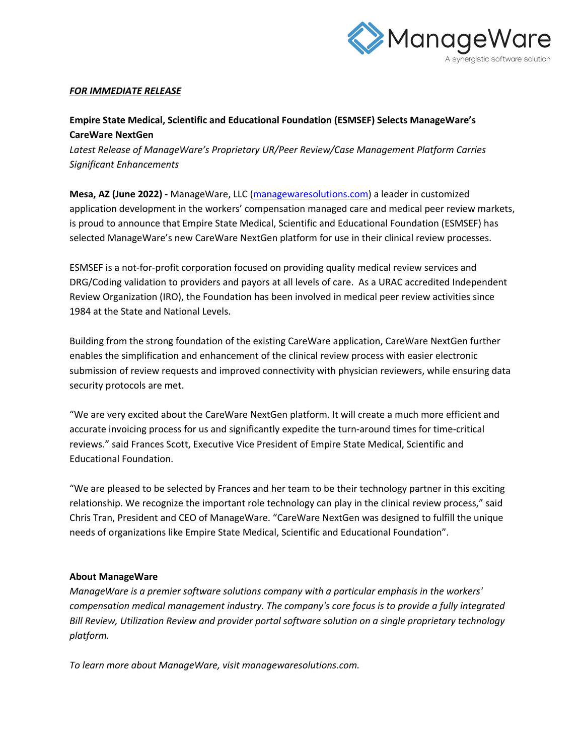

## *FOR IMMEDIATE RELEASE*

## **Empire State Medical, Scientific and Educational Foundation (ESMSEF) Selects ManageWare's CareWare NextGen**

*Latest Release of ManageWare's Proprietary UR/Peer Review/Case Management Platform Carries Significant Enhancements*

**Mesa, AZ (June 2022) -** ManageWare, LLC (managewaresolutions.com) a leader in customized application development in the workers' compensation managed care and medical peer review markets, is proud to announce that Empire State Medical, Scientific and Educational Foundation (ESMSEF) has selected ManageWare's new CareWare NextGen platform for use in their clinical review processes.

ESMSEF is a not-for-profit corporation focused on providing quality medical review services and DRG/Coding validation to providers and payors at all levels of care. As a URAC accredited Independent Review Organization (IRO), the Foundation has been involved in medical peer review activities since 1984 at the State and National Levels.

Building from the strong foundation of the existing CareWare application, CareWare NextGen further enables the simplification and enhancement of the clinical review process with easier electronic submission of review requests and improved connectivity with physician reviewers, while ensuring data security protocols are met.

"We are very excited about the CareWare NextGen platform. It will create a much more efficient and accurate invoicing process for us and significantly expedite the turn-around times for time-critical reviews." said Frances Scott, Executive Vice President of Empire State Medical, Scientific and Educational Foundation.

"We are pleased to be selected by Frances and her team to be their technology partner in this exciting relationship. We recognize the important role technology can play in the clinical review process," said Chris Tran, President and CEO of ManageWare. "CareWare NextGen was designed to fulfill the unique needs of organizations like Empire State Medical, Scientific and Educational Foundation".

## **About ManageWare**

*ManageWare is a premier software solutions company with a particular emphasis in the workers' compensation medical management industry. The company's core focus is to provide a fully integrated Bill Review, Utilization Review and provider portal software solution on a single proprietary technology platform.*

*To learn more about ManageWare, visit managewaresolutions.com.*